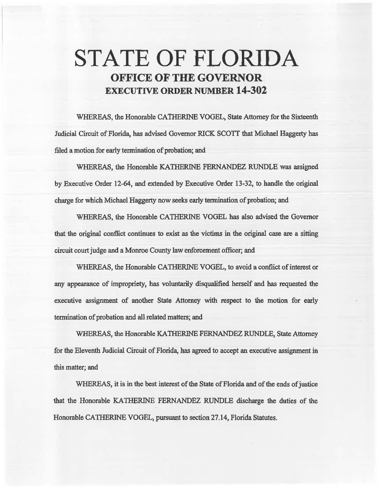# STATE OF FLORIDA OFFICE OF THE GOVERNOR EXECUTIVE ORDER NUMBER 14-302

WHEREAS, the Honorable CATHERINE VOGEL, State Attorney for the Sixteenth Judicial Circuit of Florida, has advised Governor RICK SCOTI that Michael Haggerty has filed a motion for early termination of probation; and

WHEREAS, the Honorable KATHERINE FERNANDEZ RUNDLE was assigned by Executive Order 12-64, and extended by Executive Order 13-32, to handle the original charge for which Michael Haggerty now seeks early termination of probation; and

WHEREAS, the Honorable CATHERINE VOGEL has also advised the Govemor that the original conflict continues to exist as the victims in the original case are a sitting circuit court judge and a Monroe County law enforcement officer; and

WHEREAS, the Honorable CATHERINE VOGEL, to avoid a conflict of interest or any appearance of impropriety, has voluntarily disqualified herself and has requested the executive assignment of another State Attorney with respect to the motion for early tennination of probation and all related matters; and

WHEREAS, the Honorable KATHERINE FERNANDEZ RUNDLE, State Attorney for the Eleventh Judicial Circuit of Florida, has agreed to accept an executive assignment in this matter; and

WHEREAS, it is in the best interest of the State of Florida and of the ends of justice that the Honorable KA'IHERINE FERNANDEZ RUNDLE discharge the doties of the Honorable CATHERINE VOGEL, pursuant to section 27.14, Florida Statutes.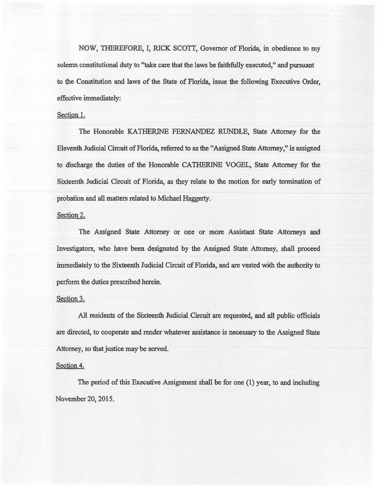NOW, THEREFORE, I, RICK SCOTT, Governor of Florida, in obedience to my solemn constitutional duty to "take care that the laws be faithfully executed," and pursuant to the Constitution and laws of the State of Florida, issue the following Executive Order, effective immediately:

## Section 1.

The Honorable KATHERINE FERNANDEZ RUNDLE, State Attorney for the Eleventb. Judicial Circuit of Florida, referred to as the "Assigned State Attorney," is assigned to discharge the duties of the Honorable CATHERINE VOGEL, State Attorney for the Sixteenth Judicial Circuit of Florida, as they relate to the motion for early termination of probation and all matters related to Michael Haggerty.

# Section 2.

The Assigned State Attorney or one or more Assistant State Attorneys and Investigators, who have been designated by the Assigned State Attorney, shall proceed immediately to the Sixteenth Judicial Circuit of Florida, and are vested with the authority to perform the duties prescribed herein.

#### Section 3.

All residents of the Sixteenth Judicial Circuit are requested, and all public officials are directed, to cooperate and render whatever assistance is necessary to the Assigned State Attorney, so that justice may be served.

## Section 4.

The period of this Executive Assignment shall be for one (1) year, to and including November 20, 2015.